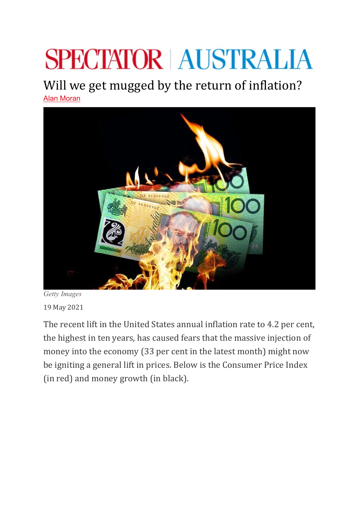## **SPECTATOR | AUSTRALIA**

## Will we get mugged by the return of inflation?

[Alan Moran](https://www.spectator.com.au/author/alanmoran/)



*Getty Images* 19 May 2021

The recent lift in the United States annual inflation rate to 4.2 per cent, the highest in ten years, has caused fears that the massive injection of money into the economy (33 per cent in the latest month) might now be igniting a general lift in prices. Below is the Consumer Price Index (in red) and money growth (in black).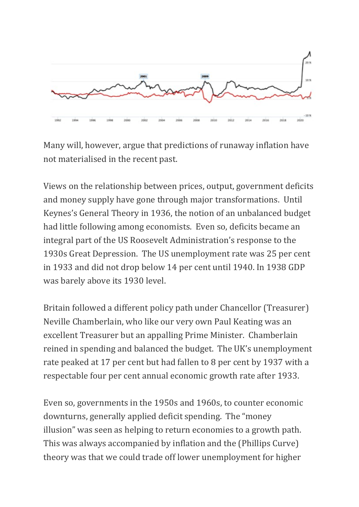

Many will, however, argue that predictions of runaway inflation have not materialised in the recent past.    

Views on the relationship between prices, output, government deficits and money supply have gone through major transformations.  Until Keynes's General Theory in 1936, the notion of an unbalanced budget had little following among economists.  Even so, deficits became an integral part of the US Roosevelt Administration's response to the 1930s Great Depression.  The US unemployment rate was 25 per cent in 1933 and did not drop below 14 per cent until 1940. In 1938 GDP was barely above its 1930 level.   

Britain followed a different policy path under Chancellor (Treasurer) Neville Chamberlain, who like our very own Paul Keating was an excellent Treasurer but an appalling Prime Minister.  Chamberlain reined in spending and balanced the budget.  The UK's unemployment rate peaked at 17 per cent but had fallen to 8 per cent by 1937 with a respectable four per cent annual economic growth rate after 1933.   

Even so, governments in the 1950s and 1960s, to counter economic downturns, generally applied deficit spending.  The "money illusion" was seen as helping to return economies to a growth path.  This was always accompanied by inflation and the (Phillips Curve) theory was that we could trade off lower unemployment for higher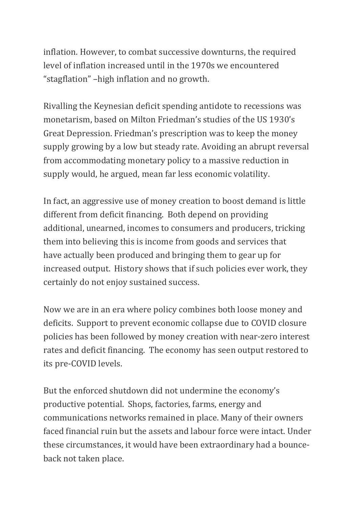inflation. However, to combat successive downturns, the required level of inflation increased until in the 1970s we encountered "stagflation" –high inflation and no growth.   

Rivalling the Keynesian deficit spending antidote to recessions was monetarism, based on Milton Friedman's studies of the US 1930's Great Depression. Friedman's prescription was to keep the money supply growing by a low but steady rate. Avoiding an abrupt reversal from accommodating monetary policy to a massive reduction in supply would, he argued, mean far less economic volatility.

In fact, an aggressive use of money creation to boost demand is little different from deficit financing.  Both depend on providing additional, unearned, incomes to consumers and producers, tricking them into believing this is income from goods and services that have actually been produced and bringing them to gear up for increased output.  History shows that if such policies ever work, they certainly do not enjoy sustained success.  

Now we are in an era where policy combines both loose money and deficits.  Support to prevent economic collapse due to COVID closure policies has been followed by money creation with near-zero interest rates and deficit financing.  The economy has seen output restored to its pre-COVID levels.   

But the enforced shutdown did not undermine the economy's productive potential.  Shops, factories, farms, energy and communications networks remained in place. Many of their owners faced financial ruin but the assets and labour force were intact. Under these circumstances, it would have been extraordinary had a bounceback not taken place.